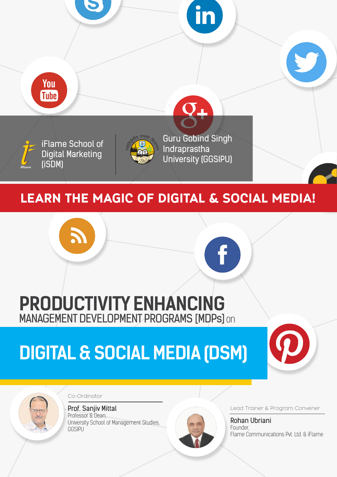

# **PRODUCTIVITY ENHANCING** MANAGEMENT DEVELOPMENT PROGRAMS [MDPs] on

# **DIGITAL & SOCIAL MEDIA (DSM)**





Co-Ordinator

Prof. Sanjiv Mittal Professor & Dean, University School of Management Studies, **GGSIPU** 



Lead Trainer & Program Convener

Rohan Ubriani Founder, Flame Communications Pvt. Ltd. & iFlame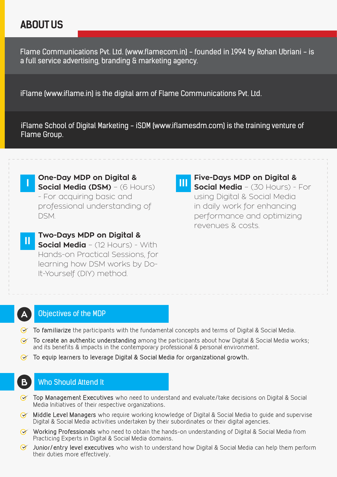## **ABOUT US**

Flame Communications Pvt. Ltd. (www.flamecom.in) - founded in 1994 by Rohan Ubriani - is a full service advertising, branding & marketing agency.

iFlame (www.iflame.in) is the digital arm of Flame Communications Pvt. Ltd.

iFlame School of Digital Marketing - iSDM (www.iflamesdm.com) is the training venture of Flame Group.

**One-Day MDP on Digital & Social Media (DSM)** – (6 Hours) - For acquiring basic and professional understanding of DSM.

**Two-Days MDP on Digital & Social Media** – (12 Hours) - With Hands-on Practical Sessions, for learning how DSM works by Do-It-Yourself (DIY) method. **II**

**Five-Days MDP on Digital & Social Media** – (30 Hours) - For using Digital & Social Media in daily work for enhancing performance and optimizing revenues & costs. **III**

#### Objectives of the MDP

**A**

**I**

**B**

- **To familiarize** the participants with the fundamental concepts and terms of Digital & Social Media.
- **To create an authentic understanding** among the participants about how Digital & Social Media works; and its benefits & impacts in the contemporary professional & personal environment.
- **To equip learners to leverage Digital & Social Media for organizational growth.**

#### Who Should Attend It

- **Top Management Executives** who need to understand and evaluate/take decisions on Digital & Social Media Initiatives of their respective organizations.
- **Middle Level Managers** who require working knowledge of Digital & Social Media to guide and supervise Digital & Social Media activities undertaken by their subordinates or their digital agencies.
- **Working Professionals** who need to obtain the hands-on understanding of Digital & Social Media from Practicing Experts in Digital & Social Media domains.
- **Junior/entry level executives** who wish to understand how Digital & Social Media can help them perform their duties more effectively.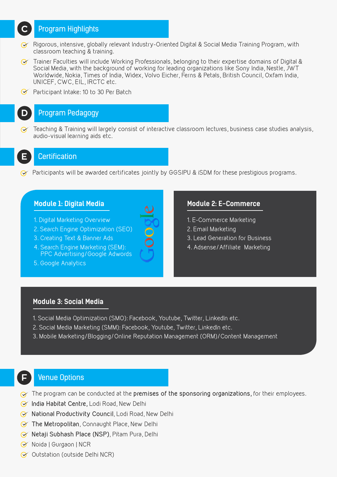#### Program Highlights

- $\gamma$  Rigorous, intensive, globally relevant Industry-Oriented Digital & Social Media Training Program, with classroom teaching & training.
- $\gamma$  Trainer Faculties will include Working Professionals, belonging to their expertise domains of Digital & Social Media, with the background of working for leading organizations like Sony India, Nestle, JWT Worldwide, Nokia, Times of India, Widex, Volvo Eicher, Ferns & Petals, British Council, Oxfam India, UNICEF, CWC, EIL, IRCTC etc.
- **Participant Intake: 10 to 30 Per Batch**

#### Program Pedagogy

Teaching & Training will largely consist of interactive classroom lectures, business case studies analysis,  $\alpha$ audio-visual learning aids etc.



**D**

**C**

#### **Certification**

Participants will be awarded certificates jointly by GGSIPU & iSDM for these prestigious programs.

- 1. Digital Marketing Overview
- 2. Search Engine Optimization (SEO)
- 3. Creating Text & Banner Ads
- 4. Search Engine Marketing (SEM): PPC Advertising/Google Adwords
- 5. Google Analytics

#### **Module 1: Digital Media Module 2: E-Commerce**

- 1. E-Commerce Marketing
- 2. Email Marketing
- 3. Lead Generation for Business
- 4. Adsense/Affiliate Marketing

#### **Module 3: Social Media**

- 1. Social Media Optimization (SMO): Facebook, Youtube, Twitter, LinkedIn etc.
- 2. Social Media Marketing (SMM): Facebook, Youtube, Twitter, LinkedIn etc.
- 3. Mobile Marketing/Blogging/Online Reputation Management (ORM)/Content Management

### **F**

#### Venue Options

- The program can be conducted at the **premises of the sponsoring organizations,** for their employees.
- **India Habitat Centre,** Lodi Road, New Delhi
- **National Productivity Council**, Lodi Road, New Delhi
- **The Metropolitan**, Connaught Place, New Delhi
- **Netaji Subhash Place (NSP)**, Pitam Pura, Delhi
- Noida | Gurgaon | NCR
- Outstation (outside Delhi NCR)